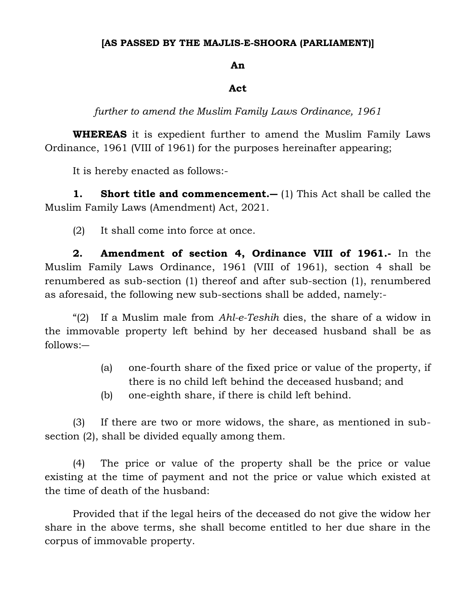## **[AS PASSED BY THE MAJLIS-E-SHOORA (PARLIAMENT)]**

## **An**

## **Act**

*further to amend the Muslim Family Laws Ordinance, 1961*

**WHEREAS** it is expedient further to amend the Muslim Family Laws Ordinance, 1961 (VIII of 1961) for the purposes hereinafter appearing;

It is hereby enacted as follows:-

**1. Short title and commencement.―** (1) This Act shall be called the Muslim Family Laws (Amendment) Act, 2021.

(2) It shall come into force at once.

**2. Amendment of section 4, Ordinance VIII of 1961.-** In the Muslim Family Laws Ordinance, 1961 (VIII of 1961), section 4 shall be renumbered as sub-section (1) thereof and after sub-section (1), renumbered as aforesaid, the following new sub-sections shall be added, namely:-

"(2) If a Muslim male from *Ahl-e-Teshih* dies, the share of a widow in the immovable property left behind by her deceased husband shall be as follows:―

- (a) one-fourth share of the fixed price or value of the property, if there is no child left behind the deceased husband; and
- (b) one-eighth share, if there is child left behind.

(3) If there are two or more widows, the share, as mentioned in subsection (2), shall be divided equally among them.

(4) The price or value of the property shall be the price or value existing at the time of payment and not the price or value which existed at the time of death of the husband:

Provided that if the legal heirs of the deceased do not give the widow her share in the above terms, she shall become entitled to her due share in the corpus of immovable property.